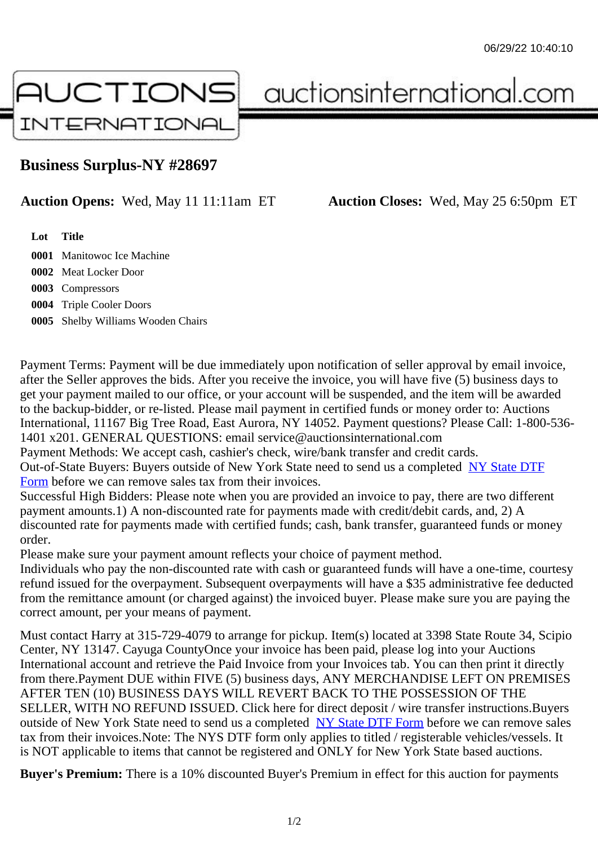## Business Surplus-NY #28697

## Auction Opens: Wed, May 11 11:11am ET Auction Closes: Wed, May 25 6:50pm ET

Lot Title

 Manitowoc Ice Machine Meat Locker Door Compressors Triple Cooler Doors Shelby Williams Wooden Chairs

Payment Terms: Payment will be due immediately upon notification of seller approval by email invoice, after the Seller approves the bids. After you receive the invoice, you will have five (5) business days to get your payment mailed to our office, or your account will be suspended, and the item will be awarded to the backup-bidder, or re-listed. Please mail payment in certified funds or money order to: Auctions International, 11167 Big Tree Road, East Aurora, NY 14052. Payment questions? Please Call: 1-800-53 1401 x201. GENERAL QUESTIONS: email service@auctionsinternational.com

Payment Methods: We accept cash, cashier's check, wire/bank transfer and credit cards.

Out-of-State Buyers: Buyers outside of New York State need to send us a com blestate DTF Form before we can remove sales tax from their invoices.

Successful High Bidders: Please note when you are provided an invoice to pay, there are two different payment amounts.1) A non-discounted rate for payments made with credit/de[bit cards, and](https://www.auctionsinternational.com/auxiliary/downloads/DTF_Form/dtf_fill_in.pdf), 2) A [disco](https://www.auctionsinternational.com/auxiliary/downloads/DTF_Form/dtf_fill_in.pdf)unted rate for payments made with certified funds; cash, bank transfer, quaranteed funds or mone order.

Please make sure your payment amount reflects your choice of payment method.

Individuals who pay the non-discounted rate with cash or quaranteed funds will have a one-time, courte refund issued for the overpayment. Subsequent overpayments will have a \$35 administrative fee deduc from the remittance amount (or charged against) the invoiced buyer. Please make sure you are paying correct amount, per your means of payment.

Must contact Harry at 315-729-4079 to arrange for pickup. Item(s) located at 3398 State Route 34, Scip Center, NY 13147. Cayuga CountyOnce your invoice has been paid, please log into your Auctions International account and retrieve the Paid Invoice from your Invoices tab. You can then print it directly from there.Payment DUE within FIVE (5) business days, ANY MERCHANDISE LEFT ON PREMISES AFTER TEN (10) BUSINESS DAYS WILL REVERT BACK TO THE POSSESSION OF THE SELLER, WITH NO REFUND ISSUED. Click here for direct deposit / wire transfer instructions.Buyers outside of New York State need to send us a complete **State DTF Form before we can remove sales** tax from their invoices.Note: The NYS DTF form only applies to titled / registerable vehicles/vessels. It is NOT applicable to items that cannot be registered and ONLY for New York State based auctions.

Buyer's Premium: There is a 10% discounted Buye[r's Premium in effec](https://www.auctionsinternational.com/auxiliary/downloads/DTF_Form/dtf_fill_in.pdf)t for this auction for payments